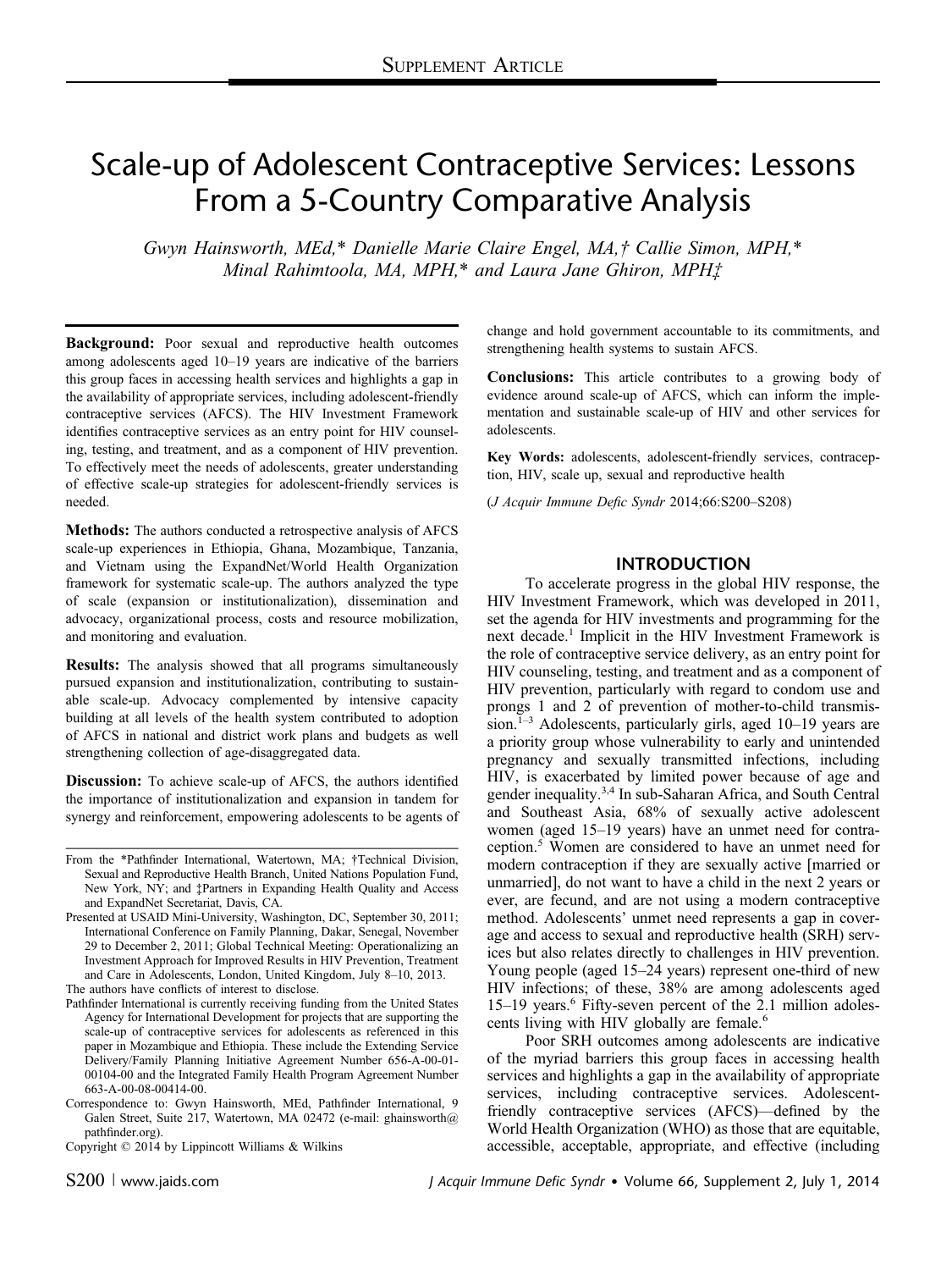# Scale-up of Adolescent Contraceptive Services: Lessons From a 5-Country Comparative Analysis

Gwyn Hainsworth, MEd,\* Danielle Marie Claire Engel, MA,† Callie Simon, MPH,\* Minal Rahimtoola, MA, MPH,\* and Laura Jane Ghiron, MPH $\ddagger$ 

Background: Poor sexual and reproductive health outcomes among adolescents aged 10–19 years are indicative of the barriers this group faces in accessing health services and highlights a gap in the availability of appropriate services, including adolescent-friendly contraceptive services (AFCS). The HIV Investment Framework identifies contraceptive services as an entry point for HIV counseling, testing, and treatment, and as a component of HIV prevention. To effectively meet the needs of adolescents, greater understanding of effective scale-up strategies for adolescent-friendly services is needed.

Methods: The authors conducted a retrospective analysis of AFCS scale-up experiences in Ethiopia, Ghana, Mozambique, Tanzania, and Vietnam using the ExpandNet/World Health Organization framework for systematic scale-up. The authors analyzed the type of scale (expansion or institutionalization), dissemination and advocacy, organizational process, costs and resource mobilization, and monitoring and evaluation.

Results: The analysis showed that all programs simultaneously pursued expansion and institutionalization, contributing to sustainable scale-up. Advocacy complemented by intensive capacity building at all levels of the health system contributed to adoption of AFCS in national and district work plans and budgets as well strengthening collection of age-disaggregated data.

Discussion: To achieve scale-up of AFCS, the authors identified the importance of institutionalization and expansion in tandem for synergy and reinforcement, empowering adolescents to be agents of change and hold government accountable to its commitments, and strengthening health systems to sustain AFCS.

Conclusions: This article contributes to a growing body of evidence around scale-up of AFCS, which can inform the implementation and sustainable scale-up of HIV and other services for adolescents.

Key Words: adolescents, adolescent-friendly services, contraception, HIV, scale up, sexual and reproductive health

(J Acquir Immune Defic Syndr 2014;66:S200–S208)

To accelerate progress in the global HIV response, the HIV Investment Framework, which was developed in 2011, set the agenda for HIV investments and programming for the next decade.<sup>1</sup> Implicit in the HIV Investment Framework is the role of contraceptive service delivery, as an entry point for HIV counseling, testing, and treatment and as a component of HIV prevention, particularly with regard to condom use and prongs 1 and 2 of prevention of mother-to-child transmission. $I<sup>-3</sup>$  Adolescents, particularly girls, aged 10–19 years are a priority group whose vulnerability to early and unintended pregnancy and sexually transmitted infections, including HIV, is exacerbated by limited power because of age and gender inequality.3,4 In sub-Saharan Africa, and South Central and Southeast Asia, 68% of sexually active adolescent women (aged 15–19 years) have an unmet need for contraception.<sup>5</sup> Women are considered to have an unmet need for modern contraception if they are sexually active [married or unmarried], do not want to have a child in the next 2 years or ever, are fecund, and are not using a modern contraceptive method. Adolescents' unmet need represents a gap in coverage and access to sexual and reproductive health (SRH) services but also relates directly to challenges in HIV prevention. Young people (aged 15–24 years) represent one-third of new HIV infections; of these, 38% are among adolescents aged 15–19 years.<sup>6</sup> Fifty-seven percent of the 2.1 million adolescents living with HIV globally are female.<sup>6</sup>

Poor SRH outcomes among adolescents are indicative of the myriad barriers this group faces in accessing health services and highlights a gap in the availability of appropriate services, including contraceptive services. Adolescentfriendly contraceptive services (AFCS)—defined by the World Health Organization (WHO) as those that are equitable, accessible, acceptable, appropriate, and effective (including

From the \*Pathfinder International, Watertown, MA; †Technical Division, Sexual and Reproductive Health Branch, United Nations Population Fund, New York, NY; and ‡Partners in Expanding Health Quality and Access and ExpandNet Secretariat, Davis, CA.

Presented at USAID Mini-University, Washington, DC, September 30, 2011; International Conference on Family Planning, Dakar, Senegal, November 29 to December 2, 2011; Global Technical Meeting: Operationalizing an Investment Approach for Improved Results in HIV Prevention, Treatment and Care in Adolescents, London, United Kingdom, July 8–10, 2013.

The authors have conflicts of interest to disclose.

Pathfinder International is currently receiving funding from the United States Agency for International Development for projects that are supporting the scale-up of contraceptive services for adolescents as referenced in this paper in Mozambique and Ethiopia. These include the Extending Service Delivery/Family Planning Initiative Agreement Number 656-A-00-01- 00104-00 and the Integrated Family Health Program Agreement Number 663-A-00-08-00414-00.

Correspondence to: Gwyn Hainsworth, MEd, Pathfinder International, 9 Galen Street, Suite 217, Watertown, MA 02472 (e-mail: ghainsworth@) pathfinder.org).

Copyright © 2014 by Lippincott Williams & Wilkins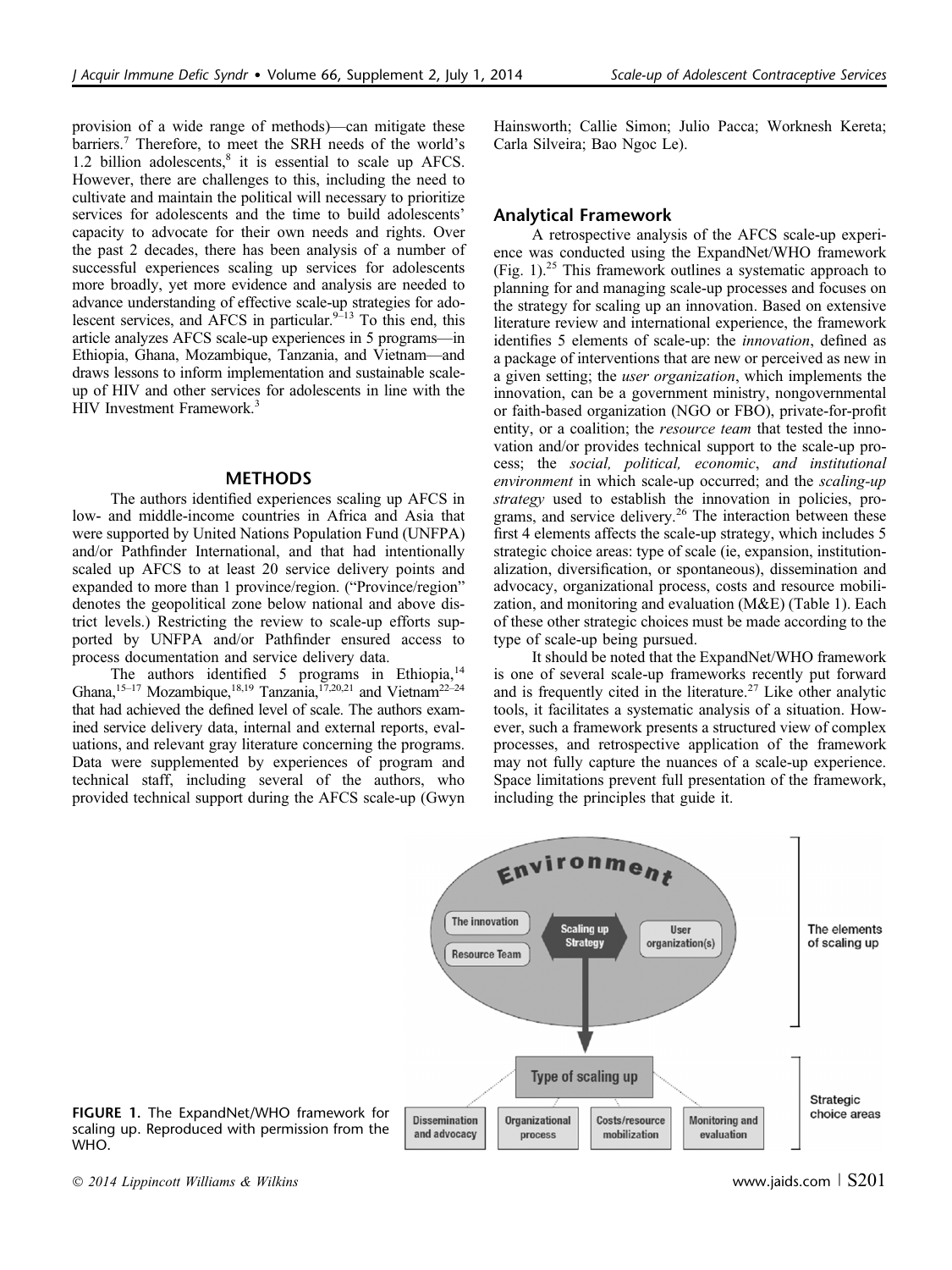provision of a wide range of methods)—can mitigate these barriers.<sup>7</sup> Therefore, to meet the SRH needs of the world's 1.2 billion adolescents, $8$  it is essential to scale up AFCS. However, there are challenges to this, including the need to cultivate and maintain the political will necessary to prioritize services for adolescents and the time to build adolescents' capacity to advocate for their own needs and rights. Over the past 2 decades, there has been analysis of a number of successful experiences scaling up services for adolescents more broadly, yet more evidence and analysis are needed to advance understanding of effective scale-up strategies for adolescent services, and  $\overline{AFCS}$  in particular.<sup>9–13</sup> To this end, this article analyzes AFCS scale-up experiences in 5 programs—in Ethiopia, Ghana, Mozambique, Tanzania, and Vietnam—and draws lessons to inform implementation and sustainable scaleup of HIV and other services for adolescents in line with the HIV Investment Framework.<sup>3</sup>

### **METHODS**

The authors identified experiences scaling up AFCS in low- and middle-income countries in Africa and Asia that were supported by United Nations Population Fund (UNFPA) and/or Pathfinder International, and that had intentionally scaled up AFCS to at least 20 service delivery points and expanded to more than 1 province/region. ("Province/region" denotes the geopolitical zone below national and above district levels.) Restricting the review to scale-up efforts supported by UNFPA and/or Pathfinder ensured access to process documentation and service delivery data.

The authors identified 5 programs in Ethiopia,<sup>14</sup> Ghana,<sup>15–17</sup> Mozambique,<sup>18,19</sup> Tanzania,<sup>17,20,21</sup> and Vietnam<sup>22–24</sup> that had achieved the defined level of scale. The authors examined service delivery data, internal and external reports, evaluations, and relevant gray literature concerning the programs. Data were supplemented by experiences of program and technical staff, including several of the authors, who provided technical support during the AFCS scale-up (Gwyn

Hainsworth; Callie Simon; Julio Pacca; Worknesh Kereta; Carla Silveira; Bao Ngoc Le).

A retrospective analysis of the AFCS scale-up experience was conducted using the ExpandNet/WHO framework (Fig. 1).<sup>25</sup> This framework outlines a systematic approach to planning for and managing scale-up processes and focuses on the strategy for scaling up an innovation. Based on extensive literature review and international experience, the framework identifies 5 elements of scale-up: the innovation, defined as a package of interventions that are new or perceived as new in a given setting; the user organization, which implements the innovation, can be a government ministry, nongovernmental or faith-based organization (NGO or FBO), private-for-profit entity, or a coalition; the *resource team* that tested the innovation and/or provides technical support to the scale-up process; the social, political, economic, and institutional environment in which scale-up occurred; and the scaling-up strategy used to establish the innovation in policies, programs, and service delivery.<sup>26</sup> The interaction between these first 4 elements affects the scale-up strategy, which includes 5 strategic choice areas: type of scale (ie, expansion, institutionalization, diversification, or spontaneous), dissemination and advocacy, organizational process, costs and resource mobilization, and monitoring and evaluation (M&E) (Table 1). Each of these other strategic choices must be made according to the type of scale-up being pursued.

It should be noted that the ExpandNet/WHO framework is one of several scale-up frameworks recently put forward and is frequently cited in the literature.<sup>27</sup> Like other analytic tools, it facilitates a systematic analysis of a situation. However, such a framework presents a structured view of complex processes, and retrospective application of the framework may not fully capture the nuances of a scale-up experience. Space limitations prevent full presentation of the framework, including the principles that guide it.



WHO.

 $\degree$  2014 Lippincott Williams & Wilkins www.jaids.com  $\degree$  S201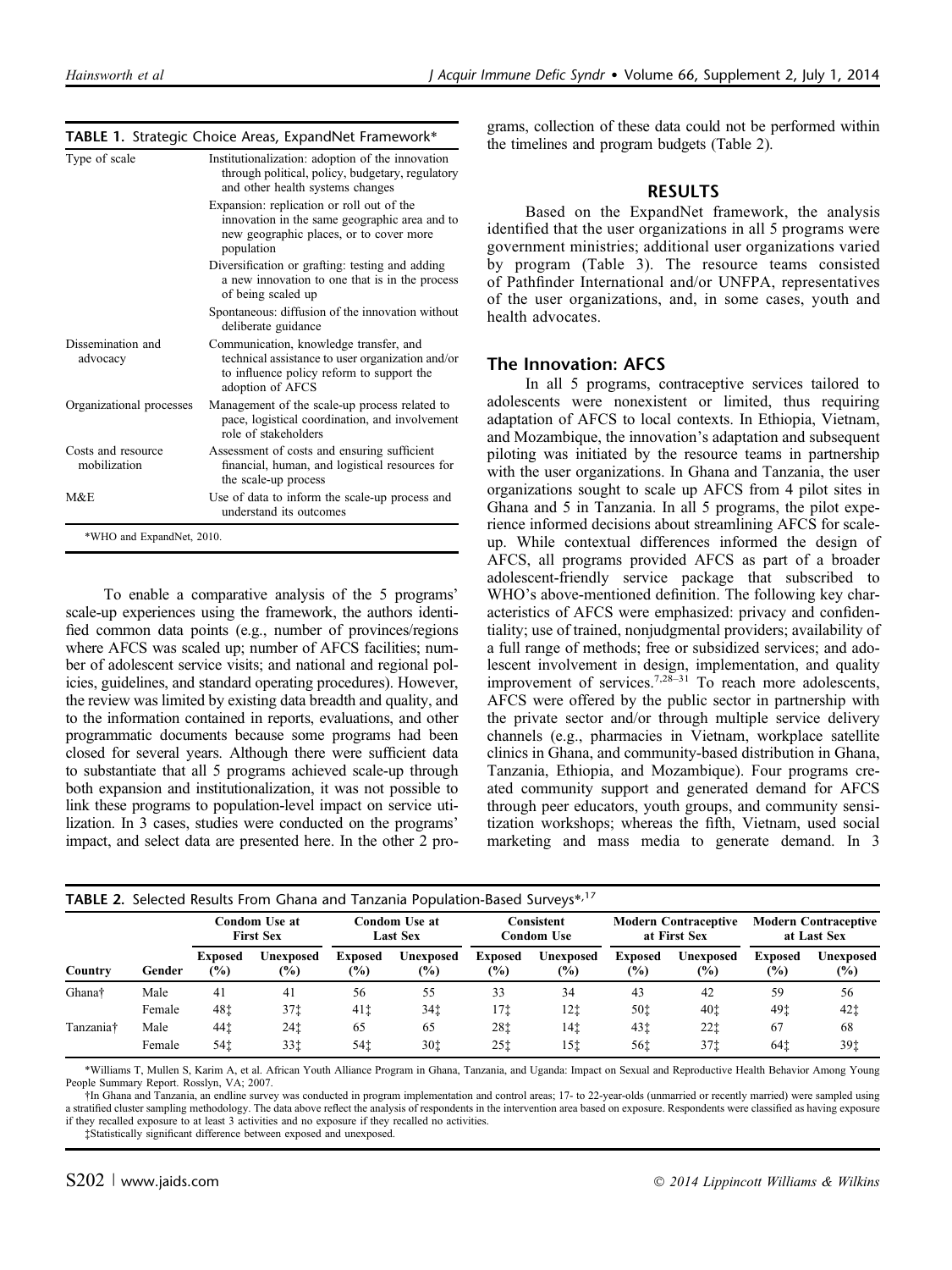### TABLE 1. Strategic Choice Areas, ExpandNet Framework\*

| Type of scale                      | Institutionalization: adoption of the innovation<br>through political, policy, budgetary, regulatory<br>and other health systems changes                    |  |  |  |  |
|------------------------------------|-------------------------------------------------------------------------------------------------------------------------------------------------------------|--|--|--|--|
|                                    | Expansion: replication or roll out of the<br>innovation in the same geographic area and to<br>new geographic places, or to cover more<br>population         |  |  |  |  |
|                                    | Diversification or grafting: testing and adding<br>a new innovation to one that is in the process<br>of being scaled up                                     |  |  |  |  |
|                                    | Spontaneous: diffusion of the innovation without<br>deliberate guidance                                                                                     |  |  |  |  |
| Dissemination and<br>advocacy      | Communication, knowledge transfer, and<br>technical assistance to user organization and/or<br>to influence policy reform to support the<br>adoption of AFCS |  |  |  |  |
| Organizational processes           | Management of the scale-up process related to<br>pace, logistical coordination, and involvement<br>role of stakeholders                                     |  |  |  |  |
| Costs and resource<br>mobilization | Assessment of costs and ensuring sufficient<br>financial, human, and logistical resources for<br>the scale-up process                                       |  |  |  |  |
| M&E                                | Use of data to inform the scale-up process and<br>understand its outcomes                                                                                   |  |  |  |  |
| *WHO and ExpandNet, 2010.          |                                                                                                                                                             |  |  |  |  |

To enable a comparative analysis of the 5 programs' scale-up experiences using the framework, the authors identified common data points (e.g., number of provinces/regions where AFCS was scaled up; number of AFCS facilities; number of adolescent service visits; and national and regional policies, guidelines, and standard operating procedures). However, the review was limited by existing data breadth and quality, and to the information contained in reports, evaluations, and other programmatic documents because some programs had been closed for several years. Although there were sufficient data to substantiate that all 5 programs achieved scale-up through both expansion and institutionalization, it was not possible to link these programs to population-level impact on service utilization. In 3 cases, studies were conducted on the programs' impact, and select data are presented here. In the other 2 pro-

grams, collection of these data could not be performed within the timelines and program budgets (Table 2).

### **RESULTS**

Based on the ExpandNet framework, the analysis identified that the user organizations in all 5 programs were government ministries; additional user organizations varied by program (Table 3). The resource teams consisted of Pathfinder International and/or UNFPA, representatives of the user organizations, and, in some cases, youth and health advocates.

In all 5 programs, contraceptive services tailored to adolescents were nonexistent or limited, thus requiring adaptation of AFCS to local contexts. In Ethiopia, Vietnam, and Mozambique, the innovation's adaptation and subsequent piloting was initiated by the resource teams in partnership with the user organizations. In Ghana and Tanzania, the user organizations sought to scale up AFCS from 4 pilot sites in Ghana and 5 in Tanzania. In all 5 programs, the pilot experience informed decisions about streamlining AFCS for scaleup. While contextual differences informed the design of AFCS, all programs provided AFCS as part of a broader adolescent-friendly service package that subscribed to WHO's above-mentioned definition. The following key characteristics of AFCS were emphasized: privacy and confidentiality; use of trained, nonjudgmental providers; availability of a full range of methods; free or subsidized services; and adolescent involvement in design, implementation, and quality improvement of services.<sup>7,28–31</sup> To reach more adolescents, AFCS were offered by the public sector in partnership with the private sector and/or through multiple service delivery channels (e.g., pharmacies in Vietnam, workplace satellite clinics in Ghana, and community-based distribution in Ghana, Tanzania, Ethiopia, and Mozambique). Four programs created community support and generated demand for AFCS through peer educators, youth groups, and community sensitization workshops; whereas the fifth, Vietnam, used social marketing and mass media to generate demand. In 3

|           | Gender | Condom Use at<br><b>First Sex</b> |                     | Condom Use at<br><b>Last Sex</b> |                     | Consistent<br>Condom Use |                     | <b>Modern Contraceptive</b><br>at First Sex |                     | <b>Modern Contraceptive</b><br>at Last Sex |                     |
|-----------|--------|-----------------------------------|---------------------|----------------------------------|---------------------|--------------------------|---------------------|---------------------------------------------|---------------------|--------------------------------------------|---------------------|
| Country   |        | Exposed<br>$(\%)$                 | Unexposed<br>$(\%)$ | <b>Exposed</b><br>$(\%)$         | Unexposed<br>$(\%)$ | <b>Exposed</b><br>$(\%)$ | Unexposed<br>$(\%)$ | <b>Exposed</b><br>$(\%)$                    | Unexposed<br>$(\%)$ | <b>Exposed</b><br>$(\%)$                   | Unexposed<br>$(\%)$ |
| Ghanat    | Male   | 41                                | 41                  | 56                               | 55                  | 33                       | 34                  | 43                                          | 42                  | 59                                         | 56                  |
|           | Female | 481                               | 37t                 | 41 t                             | 34‡                 | 17‡                      | 12t                 | 50 <sup>t</sup>                             | 40 <sub>1</sub>     | 49Ì                                        | 42 <sub>1</sub>     |
| Tanzania† | Male   | 44 i                              | 24 <sub>1</sub>     | 65                               | 65                  | 28 <sub>1</sub>          | 14Ì                 | 43 t                                        | 22 <sub>1</sub>     | 67                                         | 68                  |
|           | Female | 54 i                              | 331                 | 54İ                              | 30‡                 | 25‡                      | 15 t                | 561                                         | 37 <sub>1</sub>     | 64Ì                                        | 39‡                 |

\*Williams T, Mullen S, Karim A, et al. African Youth Alliance Program in Ghana, Tanzania, and Uganda: Impact on Sexual and Reproductive Health Behavior Among Young People Summary Report. Rosslyn, VA; 2007.

†In Ghana and Tanzania, an endline survey was conducted in program implementation and control areas; 17- to 22-year-olds (unmarried or recently married) were sampled using a stratified cluster sampling methodology. The data above reflect the analysis of respondents in the intervention area based on exposure. Respondents were classified as having exposure if they recalled exposure to at least 3 activities and no exposure if they recalled no activities.

‡Statistically significant difference between exposed and unexposed.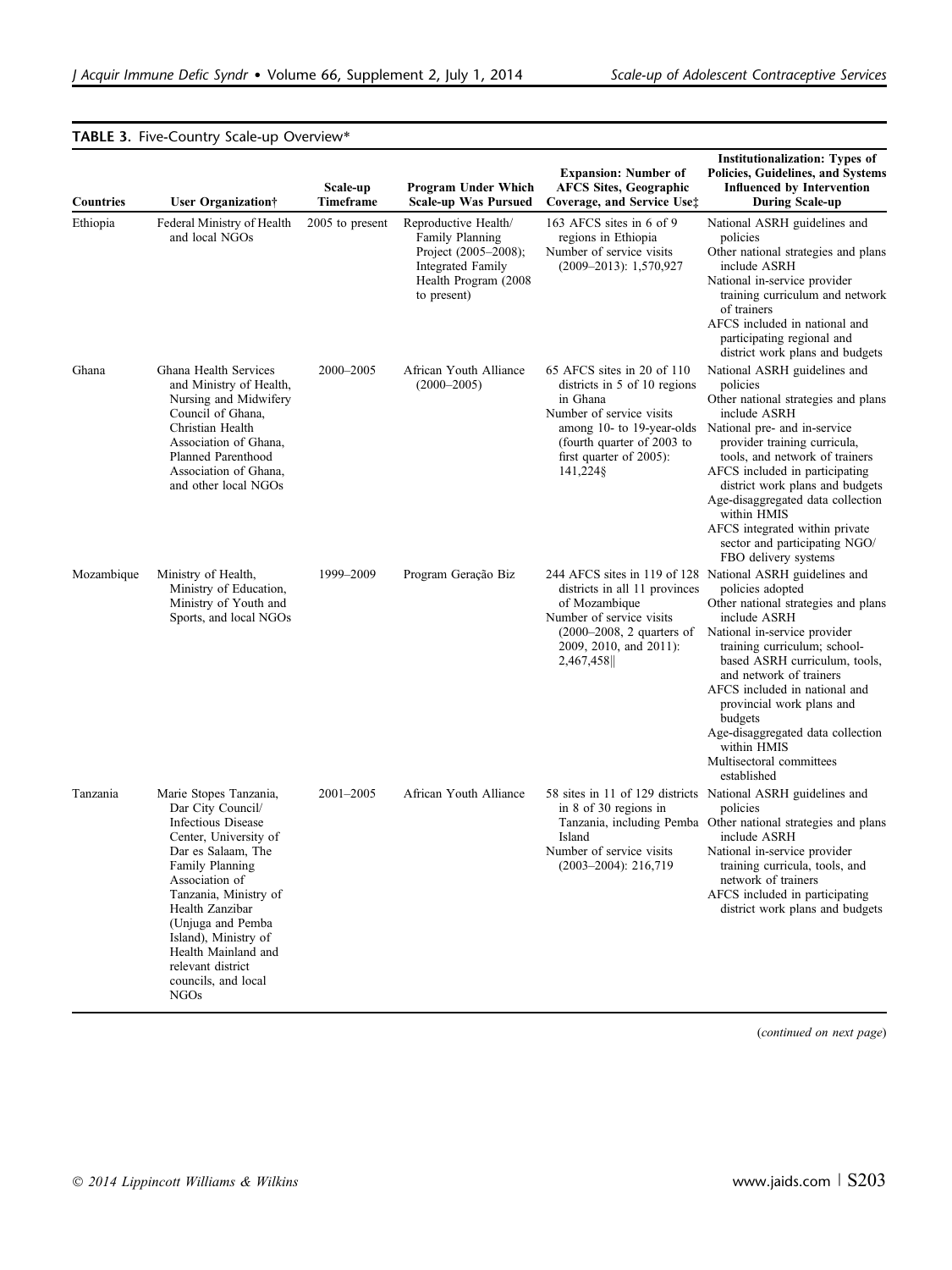| <b>Countries</b> | User Organization†                                                                                                                                                                                                                                                                                                                       | Scale-up<br>Timeframe | Program Under Which<br><b>Scale-up Was Pursued</b>                                                                                  | <b>Expansion: Number of</b><br><b>AFCS Sites, Geographic</b><br>Coverage, and Service Use‡                                                                                                             | <b>Institutionalization: Types of</b><br>Policies, Guidelines, and Systems<br><b>Influenced by Intervention</b><br><b>During Scale-up</b>                                                                                                                                                                                                                                                                                                                          |
|------------------|------------------------------------------------------------------------------------------------------------------------------------------------------------------------------------------------------------------------------------------------------------------------------------------------------------------------------------------|-----------------------|-------------------------------------------------------------------------------------------------------------------------------------|--------------------------------------------------------------------------------------------------------------------------------------------------------------------------------------------------------|--------------------------------------------------------------------------------------------------------------------------------------------------------------------------------------------------------------------------------------------------------------------------------------------------------------------------------------------------------------------------------------------------------------------------------------------------------------------|
| Ethiopia         | Federal Ministry of Health<br>and local NGOs                                                                                                                                                                                                                                                                                             | 2005 to present       | Reproductive Health/<br><b>Family Planning</b><br>Project (2005–2008);<br>Integrated Family<br>Health Program (2008)<br>to present) | 163 AFCS sites in 6 of 9<br>regions in Ethiopia<br>Number of service visits<br>$(2009 - 2013)$ : 1,570,927                                                                                             | National ASRH guidelines and<br>policies<br>Other national strategies and plans<br>include ASRH<br>National in-service provider<br>training curriculum and network<br>of trainers<br>AFCS included in national and<br>participating regional and<br>district work plans and budgets                                                                                                                                                                                |
| Ghana            | Ghana Health Services<br>and Ministry of Health,<br>Nursing and Midwifery<br>Council of Ghana,<br>Christian Health<br>Association of Ghana,<br>Planned Parenthood<br>Association of Ghana,<br>and other local NGOs                                                                                                                       | 2000–2005             | African Youth Alliance<br>$(2000 - 2005)$                                                                                           | 65 AFCS sites in 20 of 110<br>districts in 5 of 10 regions<br>in Ghana<br>Number of service visits<br>among 10- to 19-year-olds<br>(fourth quarter of 2003 to<br>first quarter of $2005$ :<br>141,224§ | National ASRH guidelines and<br>policies<br>Other national strategies and plans<br>include ASRH<br>National pre- and in-service<br>provider training curricula,<br>tools, and network of trainers<br>AFCS included in participating<br>district work plans and budgets<br>Age-disaggregated data collection<br>within HMIS<br>AFCS integrated within private<br>sector and participating NGO/<br>FBO delivery systems                                              |
| Mozambique       | Ministry of Health,<br>Ministry of Education,<br>Ministry of Youth and<br>Sports, and local NGOs                                                                                                                                                                                                                                         | 1999-2009             | Program Geração Biz                                                                                                                 | districts in all 11 provinces<br>of Mozambique<br>Number of service visits<br>2009, 2010, and 2011):<br>2,467,458                                                                                      | 244 AFCS sites in 119 of 128 National ASRH guidelines and<br>policies adopted<br>Other national strategies and plans<br>include ASRH<br>(2000–2008, 2 quarters of National in-service provider<br>training curriculum; school-<br>based ASRH curriculum, tools,<br>and network of trainers<br>AFCS included in national and<br>provincial work plans and<br>budgets<br>Age-disaggregated data collection<br>within HMIS<br>Multisectoral committees<br>established |
| Tanzania         | Marie Stopes Tanzania,<br>Dar City Council/<br><b>Infectious Disease</b><br>Center, University of<br>Dar es Salaam, The<br>Family Planning<br>Association of<br>Tanzania, Ministry of<br>Health Zanzibar<br>(Unjuga and Pemba)<br>Island), Ministry of<br>Health Mainland and<br>relevant district<br>councils, and local<br><b>NGOs</b> | 2001-2005             | African Youth Alliance                                                                                                              | in 8 of 30 regions in<br>Island<br>Number of service visits<br>$(2003 - 2004)$ : 216,719                                                                                                               | 58 sites in 11 of 129 districts National ASRH guidelines and<br>policies<br>Tanzania, including Pemba Other national strategies and plans<br>include ASRH<br>National in-service provider<br>training curricula, tools, and<br>network of trainers<br>AFCS included in participating<br>district work plans and budgets                                                                                                                                            |

(continued on next page)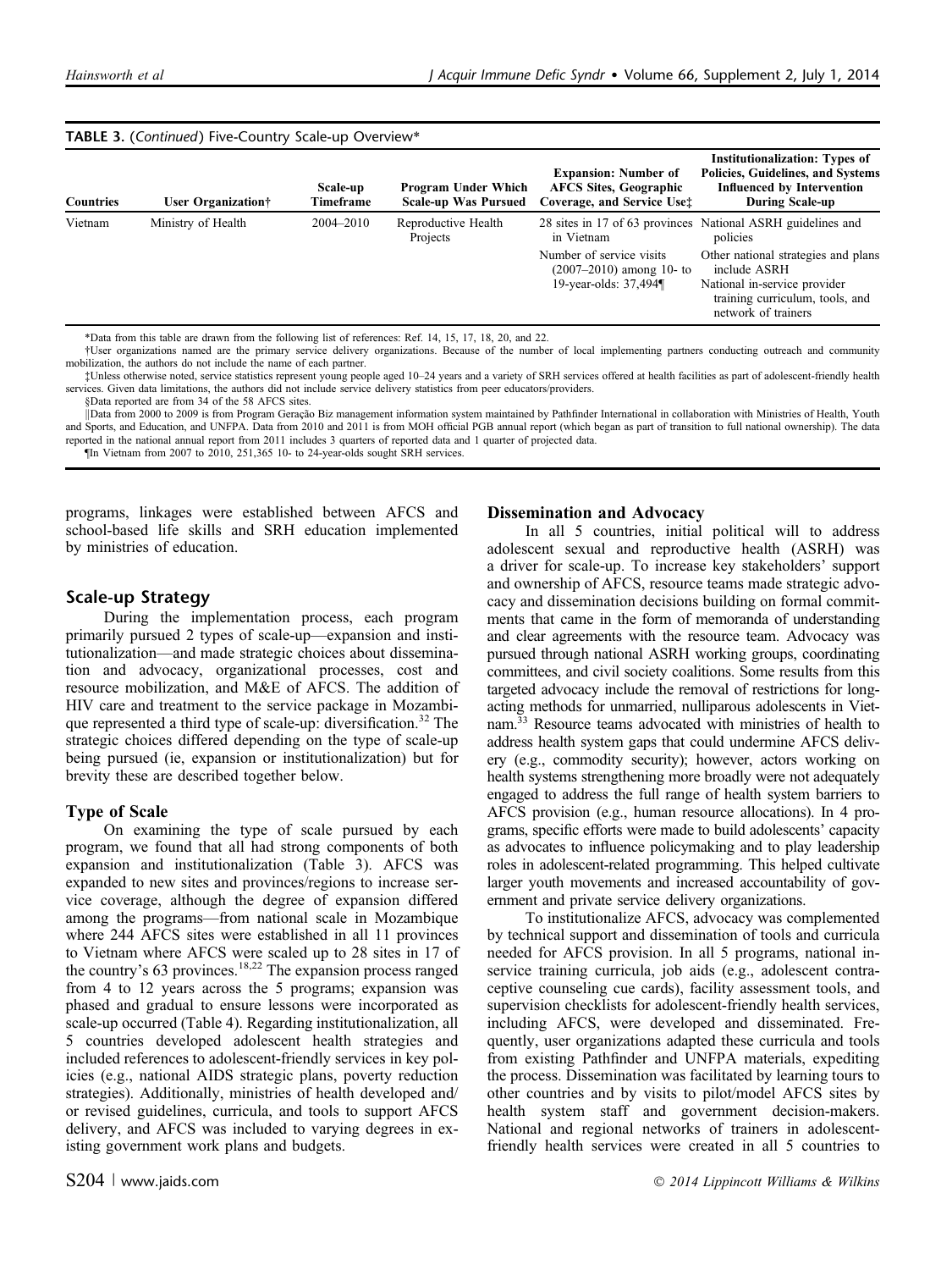### TABLE 3. (Continued) Five-Country Scale-up Overview\*

| <b>Countries</b> | User Organization† | Scale-up<br><b>Timeframe</b> | Program Under Which<br><b>Scale-up Was Pursued</b> | <b>Expansion: Number of</b><br><b>AFCS Sites, Geographic</b><br>Coverage, and Service Use‡ | <b>Institutionalization: Types of</b><br>Policies, Guidelines, and Systems<br><b>Influenced by Intervention</b><br><b>During Scale-up</b>     |
|------------------|--------------------|------------------------------|----------------------------------------------------|--------------------------------------------------------------------------------------------|-----------------------------------------------------------------------------------------------------------------------------------------------|
| Vietnam          | Ministry of Health | $2004 - 2010$                | Reproductive Health<br>Projects                    | in Vietnam                                                                                 | 28 sites in 17 of 63 provinces National ASRH guidelines and<br>policies                                                                       |
|                  |                    |                              |                                                    | Number of service visits<br>$(2007 - 2010)$ among 10- to<br>19-year-olds: 37,494¶          | Other national strategies and plans<br>include ASRH<br>National in-service provider<br>training curriculum, tools, and<br>network of trainers |

\*Data from this table are drawn from the following list of references: Ref. 14, 15, 17, 18, 20, and 22.

†User organizations named are the primary service delivery organizations. Because of the number of local implementing partners conducting outreach and community mobilization, the authors do not include the name of each partner.

‡Unless otherwise noted, service statistics represent young people aged 10–24 years and a variety of SRH services offered at health facilities as part of adolescent-friendly health services. Given data limitations, the authors did not include service delivery statistics from peer educators/providers.

§Data reported are from 34 of the 58 AFCS sites.

<sup>k</sup>Data from 2000 to 2009 is from Program Geração Biz management information system maintained by Pathfinder International in collaboration with Ministries of Health, Youth and Sports, and Education, and UNFPA. Data from 2010 and 2011 is from MOH official PGB annual report (which began as part of transition to full national ownership). The data reported in the national annual report from 2011 includes 3 quarters of reported data and 1 quarter of projected data.

¶In Vietnam from 2007 to 2010, 251,365 10- to 24-year-olds sought SRH services.

programs, linkages were established between AFCS and school-based life skills and SRH education implemented by ministries of education.

During the implementation process, each program primarily pursued 2 types of scale-up—expansion and institutionalization—and made strategic choices about dissemination and advocacy, organizational processes, cost and resource mobilization, and M&E of AFCS. The addition of HIV care and treatment to the service package in Mozambique represented a third type of scale-up: diversification.<sup>32</sup> The strategic choices differed depending on the type of scale-up being pursued (ie, expansion or institutionalization) but for brevity these are described together below.

## Type of Scale

On examining the type of scale pursued by each program, we found that all had strong components of both expansion and institutionalization (Table 3). AFCS was expanded to new sites and provinces/regions to increase service coverage, although the degree of expansion differed among the programs—from national scale in Mozambique where 244 AFCS sites were established in all 11 provinces to Vietnam where AFCS were scaled up to 28 sites in 17 of the country's 63 provinces.<sup>18,22</sup> The expansion process ranged from 4 to 12 years across the 5 programs; expansion was phased and gradual to ensure lessons were incorporated as scale-up occurred (Table 4). Regarding institutionalization, all 5 countries developed adolescent health strategies and included references to adolescent-friendly services in key policies (e.g., national AIDS strategic plans, poverty reduction strategies). Additionally, ministries of health developed and/ or revised guidelines, curricula, and tools to support AFCS delivery, and AFCS was included to varying degrees in existing government work plans and budgets.

# Dissemination and Advocacy

In all 5 countries, initial political will to address adolescent sexual and reproductive health (ASRH) was a driver for scale-up. To increase key stakeholders' support and ownership of AFCS, resource teams made strategic advocacy and dissemination decisions building on formal commitments that came in the form of memoranda of understanding and clear agreements with the resource team. Advocacy was pursued through national ASRH working groups, coordinating committees, and civil society coalitions. Some results from this targeted advocacy include the removal of restrictions for longacting methods for unmarried, nulliparous adolescents in Vietnam.<sup>33</sup> Resource teams advocated with ministries of health to address health system gaps that could undermine AFCS delivery (e.g., commodity security); however, actors working on health systems strengthening more broadly were not adequately engaged to address the full range of health system barriers to AFCS provision (e.g., human resource allocations). In 4 programs, specific efforts were made to build adolescents' capacity as advocates to influence policymaking and to play leadership roles in adolescent-related programming. This helped cultivate larger youth movements and increased accountability of government and private service delivery organizations.

To institutionalize AFCS, advocacy was complemented by technical support and dissemination of tools and curricula needed for AFCS provision. In all 5 programs, national inservice training curricula, job aids (e.g., adolescent contraceptive counseling cue cards), facility assessment tools, and supervision checklists for adolescent-friendly health services, including AFCS, were developed and disseminated. Frequently, user organizations adapted these curricula and tools from existing Pathfinder and UNFPA materials, expediting the process. Dissemination was facilitated by learning tours to other countries and by visits to pilot/model AFCS sites by health system staff and government decision-makers. National and regional networks of trainers in adolescentfriendly health services were created in all 5 countries to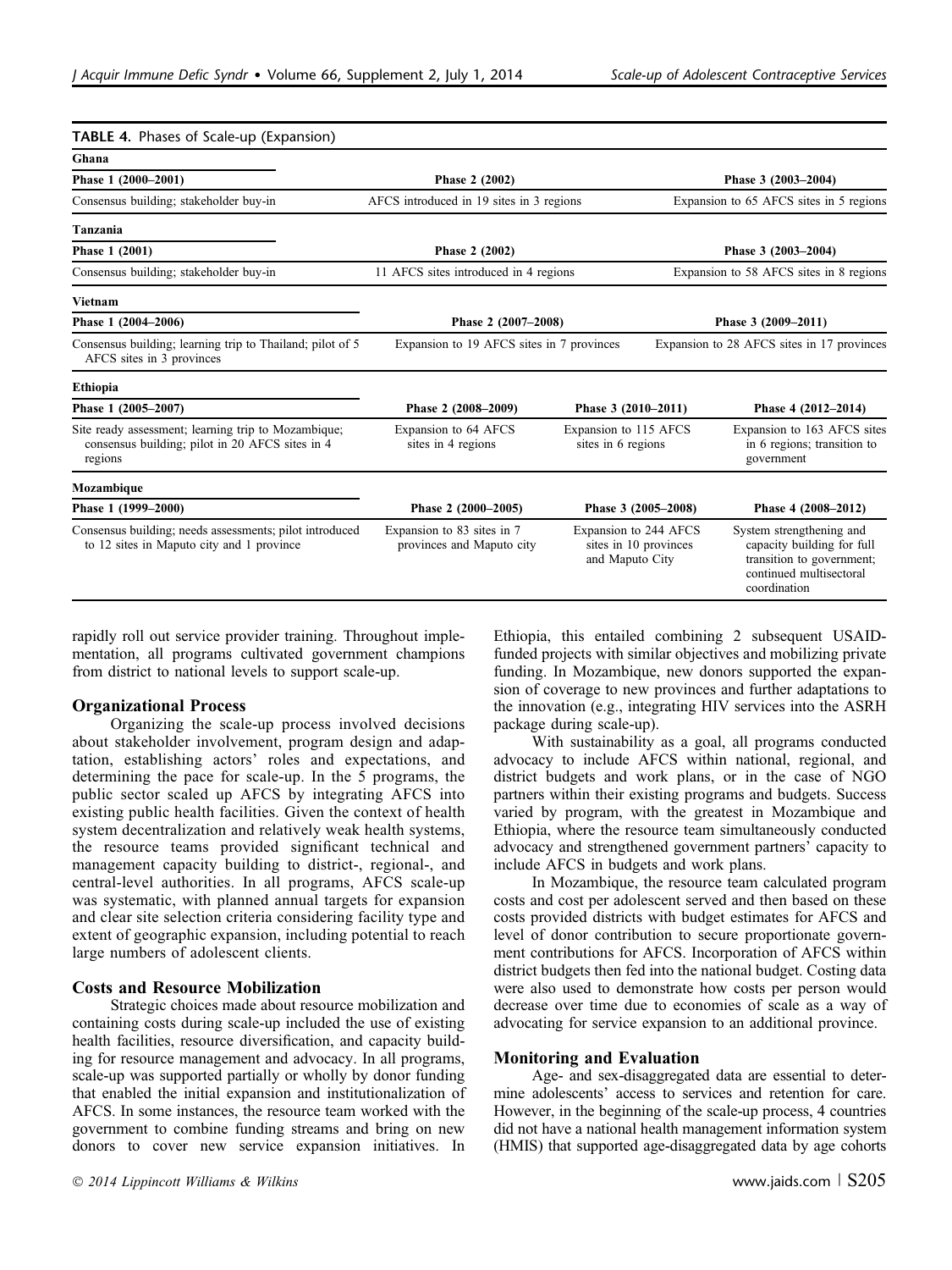| <b>TABLE 4.</b> Phases of Scale-up (Expansion)                                                                    |                                                         |                                                                   |                                            |                                                                                                                                |  |  |
|-------------------------------------------------------------------------------------------------------------------|---------------------------------------------------------|-------------------------------------------------------------------|--------------------------------------------|--------------------------------------------------------------------------------------------------------------------------------|--|--|
| Ghana                                                                                                             |                                                         |                                                                   |                                            |                                                                                                                                |  |  |
| Phase 1 (2000-2001)                                                                                               | Phase 2 (2002)                                          |                                                                   | Phase 3 (2003-2004)                        |                                                                                                                                |  |  |
| Consensus building; stakeholder buy-in                                                                            | AFCS introduced in 19 sites in 3 regions                |                                                                   | Expansion to 65 AFCS sites in 5 regions    |                                                                                                                                |  |  |
| Tanzania                                                                                                          |                                                         |                                                                   |                                            |                                                                                                                                |  |  |
| Phase 1 (2001)                                                                                                    | Phase 2 (2002)                                          |                                                                   |                                            | Phase 3 (2003-2004)                                                                                                            |  |  |
| Consensus building; stakeholder buy-in                                                                            | 11 AFCS sites introduced in 4 regions                   |                                                                   | Expansion to 58 AFCS sites in 8 regions    |                                                                                                                                |  |  |
| Vietnam                                                                                                           |                                                         |                                                                   |                                            |                                                                                                                                |  |  |
| Phase 1 (2004–2006)                                                                                               | Phase 2 (2007-2008)                                     |                                                                   |                                            | Phase 3 (2009–2011)                                                                                                            |  |  |
| Consensus building; learning trip to Thailand; pilot of 5<br>AFCS sites in 3 provinces                            | Expansion to 19 AFCS sites in 7 provinces               |                                                                   | Expansion to 28 AFCS sites in 17 provinces |                                                                                                                                |  |  |
| <b>Ethiopia</b>                                                                                                   |                                                         |                                                                   |                                            |                                                                                                                                |  |  |
| Phase 1 (2005-2007)                                                                                               | Phase 2 (2008–2009)                                     | Phase 3 (2010–2011)                                               |                                            | Phase 4 (2012-2014)                                                                                                            |  |  |
| Site ready assessment; learning trip to Mozambique;<br>consensus building; pilot in 20 AFCS sites in 4<br>regions | Expansion to 64 AFCS<br>sites in 4 regions              | Expansion to 115 AFCS<br>sites in 6 regions                       |                                            | Expansion to 163 AFCS sites<br>in 6 regions; transition to<br>government                                                       |  |  |
| Mozambique                                                                                                        |                                                         |                                                                   |                                            |                                                                                                                                |  |  |
| Phase 1 (1999–2000)                                                                                               | Phase 2 (2000–2005)                                     | Phase 3 (2005-2008)                                               |                                            | Phase 4 (2008-2012)                                                                                                            |  |  |
| Consensus building; needs assessments; pilot introduced<br>to 12 sites in Maputo city and 1 province              | Expansion to 83 sites in 7<br>provinces and Maputo city | Expansion to 244 AFCS<br>sites in 10 provinces<br>and Maputo City |                                            | System strengthening and<br>capacity building for full<br>transition to government;<br>continued multisectoral<br>coordination |  |  |

rapidly roll out service provider training. Throughout implementation, all programs cultivated government champions from district to national levels to support scale-up.

## Organizational Process

Organizing the scale-up process involved decisions about stakeholder involvement, program design and adaptation, establishing actors' roles and expectations, and determining the pace for scale-up. In the  $\bar{5}$  programs, the public sector scaled up AFCS by integrating AFCS into existing public health facilities. Given the context of health system decentralization and relatively weak health systems, the resource teams provided significant technical and management capacity building to district-, regional-, and central-level authorities. In all programs, AFCS scale-up was systematic, with planned annual targets for expansion and clear site selection criteria considering facility type and extent of geographic expansion, including potential to reach large numbers of adolescent clients.

# Costs and Resource Mobilization

Strategic choices made about resource mobilization and containing costs during scale-up included the use of existing health facilities, resource diversification, and capacity building for resource management and advocacy. In all programs, scale-up was supported partially or wholly by donor funding that enabled the initial expansion and institutionalization of AFCS. In some instances, the resource team worked with the government to combine funding streams and bring on new donors to cover new service expansion initiatives. In

Ethiopia, this entailed combining 2 subsequent USAIDfunded projects with similar objectives and mobilizing private funding. In Mozambique, new donors supported the expansion of coverage to new provinces and further adaptations to the innovation (e.g., integrating HIV services into the ASRH package during scale-up).

With sustainability as a goal, all programs conducted advocacy to include AFCS within national, regional, and district budgets and work plans, or in the case of NGO partners within their existing programs and budgets. Success varied by program, with the greatest in Mozambique and Ethiopia, where the resource team simultaneously conducted advocacy and strengthened government partners' capacity to include AFCS in budgets and work plans.

In Mozambique, the resource team calculated program costs and cost per adolescent served and then based on these costs provided districts with budget estimates for AFCS and level of donor contribution to secure proportionate government contributions for AFCS. Incorporation of AFCS within district budgets then fed into the national budget. Costing data were also used to demonstrate how costs per person would decrease over time due to economies of scale as a way of advocating for service expansion to an additional province.

### Monitoring and Evaluation

Age- and sex-disaggregated data are essential to determine adolescents' access to services and retention for care. However, in the beginning of the scale-up process, 4 countries did not have a national health management information system (HMIS) that supported age-disaggregated data by age cohorts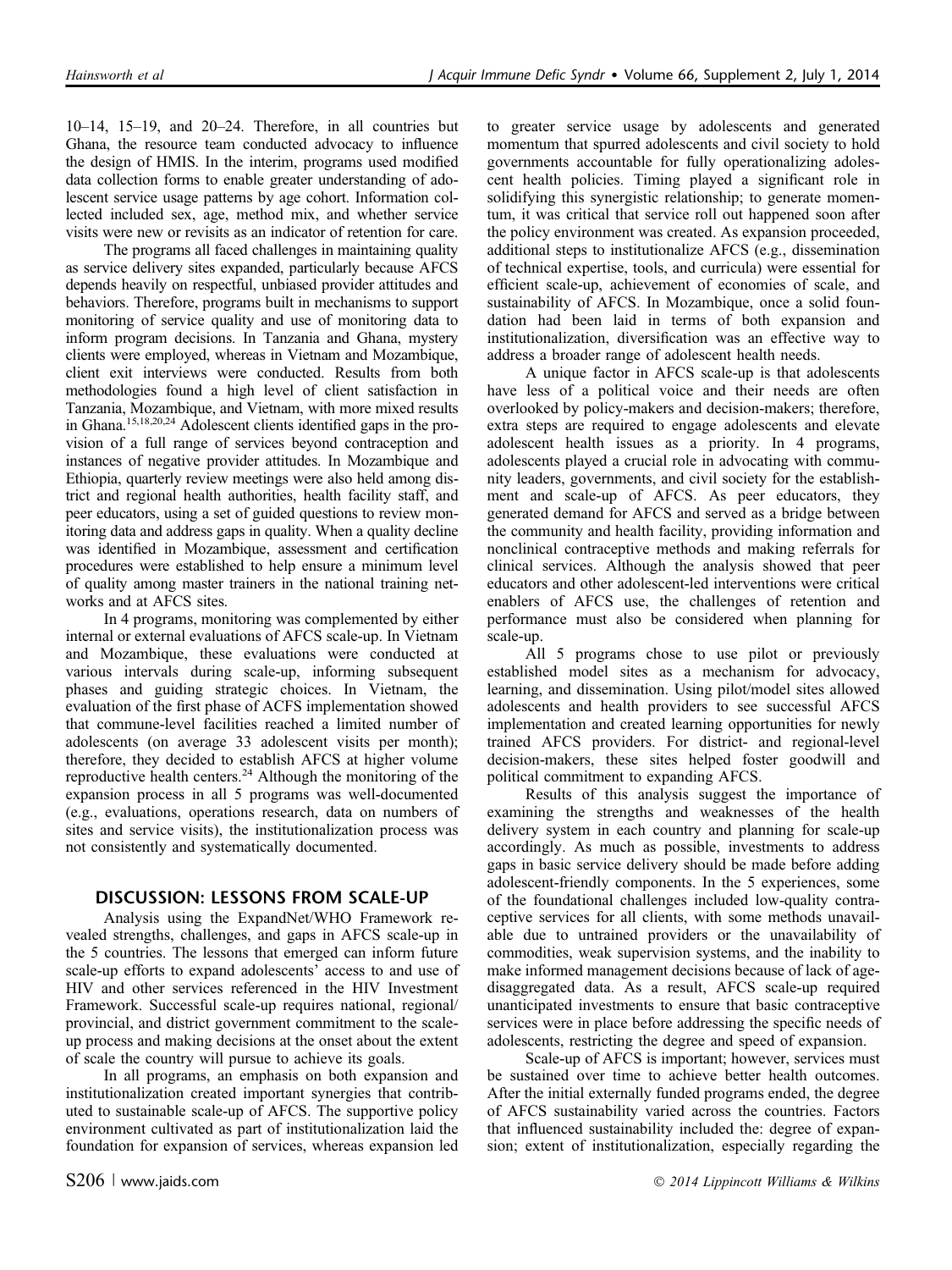10–14, 15–19, and 20–24. Therefore, in all countries but Ghana, the resource team conducted advocacy to influence the design of HMIS. In the interim, programs used modified data collection forms to enable greater understanding of adolescent service usage patterns by age cohort. Information collected included sex, age, method mix, and whether service visits were new or revisits as an indicator of retention for care.

The programs all faced challenges in maintaining quality as service delivery sites expanded, particularly because AFCS depends heavily on respectful, unbiased provider attitudes and behaviors. Therefore, programs built in mechanisms to support monitoring of service quality and use of monitoring data to inform program decisions. In Tanzania and Ghana, mystery clients were employed, whereas in Vietnam and Mozambique, client exit interviews were conducted. Results from both methodologies found a high level of client satisfaction in Tanzania, Mozambique, and Vietnam, with more mixed results in Ghana.15,18,20,24 Adolescent clients identified gaps in the provision of a full range of services beyond contraception and instances of negative provider attitudes. In Mozambique and Ethiopia, quarterly review meetings were also held among district and regional health authorities, health facility staff, and peer educators, using a set of guided questions to review monitoring data and address gaps in quality. When a quality decline was identified in Mozambique, assessment and certification procedures were established to help ensure a minimum level of quality among master trainers in the national training networks and at AFCS sites.

In 4 programs, monitoring was complemented by either internal or external evaluations of AFCS scale-up. In Vietnam and Mozambique, these evaluations were conducted at various intervals during scale-up, informing subsequent phases and guiding strategic choices. In Vietnam, the evaluation of the first phase of ACFS implementation showed that commune-level facilities reached a limited number of adolescents (on average 33 adolescent visits per month); therefore, they decided to establish AFCS at higher volume reproductive health centers.<sup>24</sup> Although the monitoring of the expansion process in all 5 programs was well-documented (e.g., evaluations, operations research, data on numbers of sites and service visits), the institutionalization process was not consistently and systematically documented.

# **DISCUSSION: LESSONS FROM SCALE-UP**

Analysis using the ExpandNet/WHO Framework revealed strengths, challenges, and gaps in AFCS scale-up in the 5 countries. The lessons that emerged can inform future scale-up efforts to expand adolescents' access to and use of HIV and other services referenced in the HIV Investment Framework. Successful scale-up requires national, regional/ provincial, and district government commitment to the scaleup process and making decisions at the onset about the extent of scale the country will pursue to achieve its goals.

In all programs, an emphasis on both expansion and institutionalization created important synergies that contributed to sustainable scale-up of AFCS. The supportive policy environment cultivated as part of institutionalization laid the foundation for expansion of services, whereas expansion led

to greater service usage by adolescents and generated momentum that spurred adolescents and civil society to hold governments accountable for fully operationalizing adolescent health policies. Timing played a significant role in solidifying this synergistic relationship; to generate momentum, it was critical that service roll out happened soon after the policy environment was created. As expansion proceeded, additional steps to institutionalize AFCS (e.g., dissemination of technical expertise, tools, and curricula) were essential for efficient scale-up, achievement of economies of scale, and sustainability of AFCS. In Mozambique, once a solid foundation had been laid in terms of both expansion and institutionalization, diversification was an effective way to address a broader range of adolescent health needs.

A unique factor in AFCS scale-up is that adolescents have less of a political voice and their needs are often overlooked by policy-makers and decision-makers; therefore, extra steps are required to engage adolescents and elevate adolescent health issues as a priority. In 4 programs, adolescents played a crucial role in advocating with community leaders, governments, and civil society for the establishment and scale-up of AFCS. As peer educators, they generated demand for AFCS and served as a bridge between the community and health facility, providing information and nonclinical contraceptive methods and making referrals for clinical services. Although the analysis showed that peer educators and other adolescent-led interventions were critical enablers of AFCS use, the challenges of retention and performance must also be considered when planning for scale-up.

All 5 programs chose to use pilot or previously established model sites as a mechanism for advocacy, learning, and dissemination. Using pilot/model sites allowed adolescents and health providers to see successful AFCS implementation and created learning opportunities for newly trained AFCS providers. For district- and regional-level decision-makers, these sites helped foster goodwill and political commitment to expanding AFCS.

Results of this analysis suggest the importance of examining the strengths and weaknesses of the health delivery system in each country and planning for scale-up accordingly. As much as possible, investments to address gaps in basic service delivery should be made before adding adolescent-friendly components. In the 5 experiences, some of the foundational challenges included low-quality contraceptive services for all clients, with some methods unavailable due to untrained providers or the unavailability of commodities, weak supervision systems, and the inability to make informed management decisions because of lack of agedisaggregated data. As a result, AFCS scale-up required unanticipated investments to ensure that basic contraceptive services were in place before addressing the specific needs of adolescents, restricting the degree and speed of expansion.

Scale-up of AFCS is important; however, services must be sustained over time to achieve better health outcomes. After the initial externally funded programs ended, the degree of AFCS sustainability varied across the countries. Factors that influenced sustainability included the: degree of expansion; extent of institutionalization, especially regarding the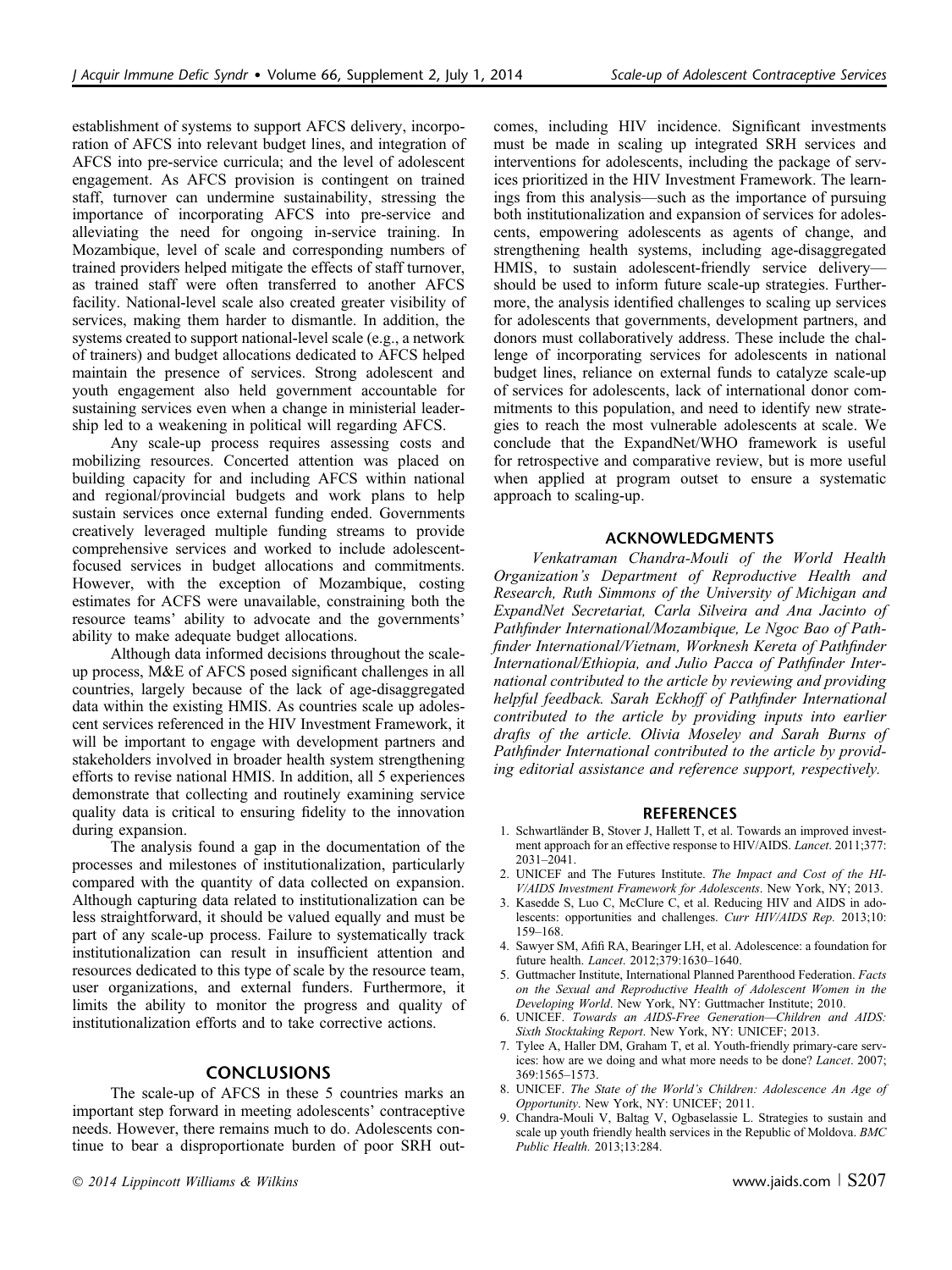establishment of systems to support AFCS delivery, incorporation of AFCS into relevant budget lines, and integration of AFCS into pre-service curricula; and the level of adolescent engagement. As AFCS provision is contingent on trained staff, turnover can undermine sustainability, stressing the importance of incorporating AFCS into pre-service and alleviating the need for ongoing in-service training. In Mozambique, level of scale and corresponding numbers of trained providers helped mitigate the effects of staff turnover, as trained staff were often transferred to another AFCS facility. National-level scale also created greater visibility of services, making them harder to dismantle. In addition, the systems created to support national-level scale (e.g., a network of trainers) and budget allocations dedicated to AFCS helped maintain the presence of services. Strong adolescent and youth engagement also held government accountable for sustaining services even when a change in ministerial leadership led to a weakening in political will regarding AFCS.

Any scale-up process requires assessing costs and mobilizing resources. Concerted attention was placed on building capacity for and including AFCS within national and regional/provincial budgets and work plans to help sustain services once external funding ended. Governments creatively leveraged multiple funding streams to provide comprehensive services and worked to include adolescentfocused services in budget allocations and commitments. However, with the exception of Mozambique, costing estimates for ACFS were unavailable, constraining both the resource teams' ability to advocate and the governments' ability to make adequate budget allocations.

Although data informed decisions throughout the scaleup process, M&E of AFCS posed significant challenges in all countries, largely because of the lack of age-disaggregated data within the existing HMIS. As countries scale up adolescent services referenced in the HIV Investment Framework, it will be important to engage with development partners and stakeholders involved in broader health system strengthening efforts to revise national HMIS. In addition, all 5 experiences demonstrate that collecting and routinely examining service quality data is critical to ensuring fidelity to the innovation during expansion.

The analysis found a gap in the documentation of the processes and milestones of institutionalization, particularly compared with the quantity of data collected on expansion. Although capturing data related to institutionalization can be less straightforward, it should be valued equally and must be part of any scale-up process. Failure to systematically track institutionalization can result in insufficient attention and resources dedicated to this type of scale by the resource team, user organizations, and external funders. Furthermore, it limits the ability to monitor the progress and quality of institutionalization efforts and to take corrective actions.

The scale-up of AFCS in these 5 countries marks an important step forward in meeting adolescents' contraceptive needs. However, there remains much to do. Adolescents continue to bear a disproportionate burden of poor SRH outcomes, including HIV incidence. Significant investments must be made in scaling up integrated SRH services and interventions for adolescents, including the package of services prioritized in the HIV Investment Framework. The learnings from this analysis—such as the importance of pursuing both institutionalization and expansion of services for adolescents, empowering adolescents as agents of change, and strengthening health systems, including age-disaggregated HMIS, to sustain adolescent-friendly service delivery should be used to inform future scale-up strategies. Furthermore, the analysis identified challenges to scaling up services for adolescents that governments, development partners, and donors must collaboratively address. These include the challenge of incorporating services for adolescents in national budget lines, reliance on external funds to catalyze scale-up of services for adolescents, lack of international donor commitments to this population, and need to identify new strategies to reach the most vulnerable adolescents at scale. We conclude that the ExpandNet/WHO framework is useful for retrospective and comparative review, but is more useful when applied at program outset to ensure a systematic approach to scaling-up.

Venkatraman Chandra-Mouli of the World Health Organization's Department of Reproductive Health and Research, Ruth Simmons of the University of Michigan and ExpandNet Secretariat, Carla Silveira and Ana Jacinto of Pathfinder International/Mozambique, Le Ngoc Bao of Pathfinder International/Vietnam, Worknesh Kereta of Pathfinder International/Ethiopia, and Julio Pacca of Pathfinder International contributed to the article by reviewing and providing helpful feedback. Sarah Eckhoff of Pathfinder International contributed to the article by providing inputs into earlier drafts of the article. Olivia Moseley and Sarah Burns of Pathfinder International contributed to the article by providing editorial assistance and reference support, respectively.

### **REFERENCES**

- 1. Schwartländer B, Stover J, Hallett T, et al. Towards an improved investment approach for an effective response to HIV/AIDS. Lancet. 2011;377: 2031–2041.
- 2. UNICEF and The Futures Institute. The Impact and Cost of the HI-V/AIDS Investment Framework for Adolescents. New York, NY; 2013.
- 3. Kasedde S, Luo C, McClure C, et al. Reducing HIV and AIDS in adolescents: opportunities and challenges. Curr HIV/AIDS Rep. 2013;10: 159–168.
- 4. Sawyer SM, Afifi RA, Bearinger LH, et al. Adolescence: a foundation for future health. Lancet. 2012;379:1630-1640.
- 5. Guttmacher Institute, International Planned Parenthood Federation. Facts on the Sexual and Reproductive Health of Adolescent Women in the Developing World. New York, NY: Guttmacher Institute; 2010.
- 6. UNICEF. Towards an AIDS-Free Generation—Children and AIDS: Sixth Stocktaking Report. New York, NY: UNICEF; 2013.
- 7. Tylee A, Haller DM, Graham T, et al. Youth-friendly primary-care services: how are we doing and what more needs to be done? Lancet. 2007; 369:1565–1573.
- 8. UNICEF. The State of the World's Children: Adolescence An Age of Opportunity. New York, NY: UNICEF; 2011.
- 9. Chandra-Mouli V, Baltag V, Ogbaselassie L. Strategies to sustain and scale up youth friendly health services in the Republic of Moldova. BMC Public Health. 2013;13:284.